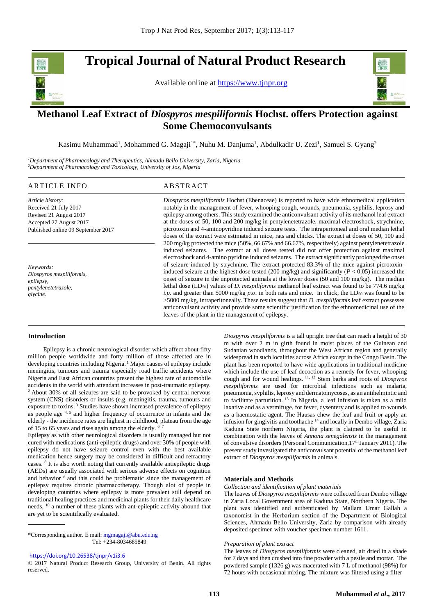**Tropical Journal of Natural Product Research** 

Available online at [https://www.tjnpr.org](https://www.tjnpr.org/)



.

# **Methanol Leaf Extract of** *Diospyros mespiliformis* **Hochst. offers Protection against Some Chemoconvulsants**

Kasimu Muhammad<sup>1</sup>, Mohammed G. Magaji<sup>1\*</sup>, Nuhu M. Danjuma<sup>1</sup>, Abdulkadir U. Zezi<sup>1</sup>, Samuel S. Gyang<sup>2</sup>

*<sup>1</sup>Department of Pharmacology and Therapeutics, Ahmadu Bello University, Zaria, Nigeria <sup>2</sup>Department of Pharmacology and Toxicology, University of Jos, Nigeria*

# ARTICLE INFO ABSTRACT

*Article history:* Received 21 July 2017 Revised 21 August 2017 Accepted 27 August 2017 Published online 09 September 2017

*Keywords: Diospyros mespiliformis, epilepsy, pentylenetetrazole, glycine.*

*Diospyros mespiliformis* Hochst (Ebenaceae) is reported to have wide ethnomedical application notably in the management of fever, whooping cough, wounds, pneumonia, syphilis, leprosy and epilepsy among others. This study examined the anticonvulsant activity of its methanol leaf extract at the doses of 50, 100 and 200 mg/kg in pentylenetetrazole, maximal electroshock, strychnine, picrotoxin and 4-aminopyridine induced seizure tests. The intraperitoneal and oral median lethal doses of the extract were estimated in mice, rats and chicks. The extract at doses of 50, 100 and 200 mg/kg protected the mice (50%, 66.67% and 66.67%, respectively) against pentylenetetrazole induced seizures. The extract at all doses tested did not offer protection against maximal electroshock and 4-amino pyridine induced seizures. The extract significantly prolonged the onset of seizure induced by strychnine. The extract protected 83.3% of the mice against picrotoxininduced seizure at the highest dose tested (200 mg/kg) and significantly ( $P < 0.05$ ) increased the onset of seizure in the unprotected animals at the lower doses (50 and 100 mg/kg). The median lethal dose (LD50) values of *D. mespiliformis* methanol leaf extract was found to be 774.6 mg/kg *i.p.* and greater than 5000 mg/kg *p.o.* in both rats and mice. In chick, the LD<sub>50</sub> was found to be >5000 mg/kg, intraperitoneally. These results suggest that *D. mespiliformis* leaf extract possesses anticonvulsant activity and provide some scientific justification for the ethnomedicinal use of the leaves of the plant in the management of epilepsy.

# **Introduction**

 Epilepsy is a chronic neurological disorder which affect about fifty million people worldwide and forty million of those affected are in developing countries including Nigeria.<sup>1</sup> Major causes of epilepsy include meningitis, tumours and trauma especially road traffic accidents where Nigeria and East African countries present the highest rate of automobile accidents in the world with attendant increases in post-traumatic epilepsy. <sup>2</sup> About 30% of all seizures are said to be provoked by central nervous system (CNS) disorders or insults (e.g. meningitis, trauma, tumours and exposure to toxins. <sup>3</sup> Studies have shown increased prevalence of epilepsy as people age  $4, 5$  and higher frequency of occurrence in infants and the elderly - the incidence rates are highest in childhood, plateau from the age of 15 to 65 years and rises again among the elderly.  $6,7$ 

Epilepsy as with other neurological disorders is usually managed but not cured with medications (anti-epileptic drugs) and over 30% of people with epilepsy do not have seizure control even with the best available medication hence surgery may be considered in difficult and refractory cases. 8 It is also worth noting that currently available antiepileptic drugs (AEDs) are usually associated with serious adverse effects on cognition and behavior<sup>9</sup> and this could be problematic since the management of epilepsy requires chronic pharmacotherapy. Though alot of people in developing countries where epilepsy is more prevalent still depend on traditional healing practices and medicinal plants for their daily healthcare needs, <sup>10</sup> a number of these plants with ant-epileptic activity abound that are yet to be scientifically evaluated.

\*Corresponding author. E mail[: mgmagaji@abu.edu.ng](mailto:mgmagaji@abu.edu.ng)  Tel: +234-8034685849

<https://doi.org/10.26538/tjnpr/v1i3.6>

© 2017 Natural Product Research Group, University of Benin. All rights reserved.

*Diospyros mespiliformis* is a tall upright tree that can reach a height of 30 m with over 2 m in girth found in moist places of the Guinean and Sudanian woodlands, throughout the West African region and generally widespread in such localities across Africa except in the Congo Basin. The plant has been reported to have wide applications in traditional medicine which include the use of leaf decoction as a remedy for fever, whooping cough and for wound healings. 11, 12 Stem barks and roots of *Diospyros mespiliformis* are used for microbial infections such as malaria, pneumonia, syphilis, leprosy and dermatomycoses, as an antihelmintic and to facilitate parturition. <sup>13</sup> In Nigeria, a leaf infusion is taken as a mild laxative and as a vermifuge, for fever, dysentery and is applied to wounds as a haemostatic agent. The Hausas chew the leaf and fruit or apply an infusion for gingivitis and toothache <sup>14</sup> and locally in Dembo village, Zaria Kaduna State northern Nigeria, the plant is claimed to be useful in combination with the leaves of *Annona senegalensis* in the management of convulsive disorders (Personal Communication, 17<sup>th</sup> January 2011). The present study investigated the anticonvulsant potential of the methanol leaf extract of *Diospyros mespiliformis* in animals.

# **Materials and Methods**

#### *Collection and identification of plant materials*

The leaves of *Diospyros mespiliformis* were collected from Dembo village in Zaria Local Government area of Kaduna State, Northern Nigeria. The plant was identified and authenticated by Mallam Umar Gallah a taxonomist in the Herbarium section of the Department of Biological Sciences, Ahmadu Bello University, Zaria by comparison with already deposited specimen with voucher specimen number 1611.

#### *Preparation of plant extract*

The leaves of *Diospyros mespiliformis* were cleaned, air dried in a shade for 7 days and then crushed into fine powder with a pestle and mortar. The powdered sample (1326 g) was macerated with 7 L of methanol (98%) for 72 hours with occasional mixing. The mixture was filtered using a filter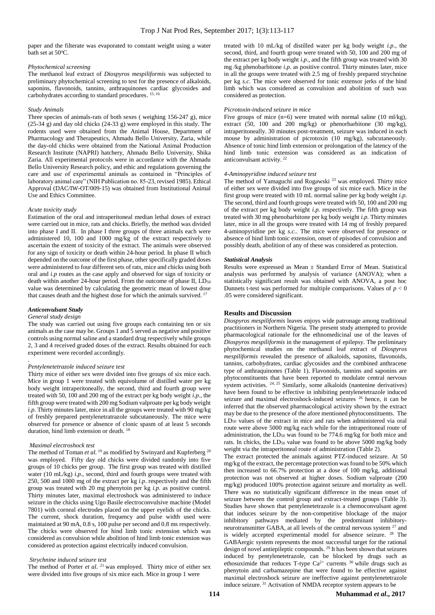paper and the filterate was evaporated to constant weight using a water bath set at 50°C.

#### *Phytochemical screening*

The methanol leaf extract of *Diospyros mespiliformis* was subjected to preliminary phytochemical screening to test for the presence of alkaloids, saponins, flavonoids, tannins, anthraquinones cardiac glycosides and carbohydrates according to standard procedures.<sup>15, 16</sup>

# *Study Animals*

Three species of animals-rats of both sexes ( weighing 156-247 g), mice (25-34 g) and day old chicks (24-33 g) were employed in this study. The rodents used were obtained from the Animal House, Department of Pharmacology and Therapeutics, Ahmadu Bello University, Zaria, while the day-old chicks were obtained from the National Animal Production Research Institute (NAPRI) hatchery, Ahmadu Bello University, Shika Zaria. All experimental protocols were in accordance with the Ahmadu Bello University Research policy, and ethic and regulations governing the care and use of experimental animals as contained in "Principles of laboratory animal care" (NIH Publication no. 85-23, revised 1985). Ethical Approval (DAC/IW-OT/009-15) was obtained from Institutional Animal Use and Ethics Committee.

### *Acute toxicity study*

Estimation of the oral and intraperitoneal median lethal doses of extract were carried out in mice, rats and chicks. Briefly, the method was divided into phase I and II. In phase I three groups of three animals each were administered 10, 100 and 1000 mg/kg of the extract respectively to ascertain the extent of toxicity of the extract. The animals were observed for any sign of toxicity or death within 24-hour period. In phase II which depended on the outcome of the first phase, other specifically graded doses were administered to four different sets of rats, mice and chicks using both oral and *i.p* routes as the case apply and observed for sign of toxicity or death within another 24-hour period. From the outcome of phase II,  $LD_{50}$ value was determined by calculating the geometric mean of lowest dose that causes death and the highest dose for which the animals survived. 17

# *Anticonvulsant Study*

# *General study design*

.

The study was carried out using five groups each containing ten or six animals as the case may be. Groups 1 and 5 served as negative and positive controls using normal saline and a standard drug respectively while groups 2, 3 and 4 received graded doses of the extract. Results obtained for each experiment were recorded accordingly.

#### *Pentylenetetrazole induced seizure test*

Thirty mice of either sex were divided into five groups of six mice each. Mice in group 1 were treated with equivolume of distilled water per kg body weight intraperitoneally, the second, third and fourth group were treated with 50, 100 and 200 mg of the extract per kg body weight *i.p*., the fifth group were treated with 200 mg Sodium valproate per kg body weight *i.p.* Thirty minutes later, mice in all the groups were treated with 90 mg/kg of freshly prepared pentylenetratrazole subcutaneously. The mice were observed for presence or absence of clonic spasm of at least 5 seconds duration, hind limb extension or death. 18

#### *Maximal electroshock test*

The method of Toman *et al.* <sup>19</sup> as modified by Swinyard and Kupferberg <sup>20</sup> was employed. Fifty day old chicks were divided randomly into five groups of 10 chicks per group. The first group was treated with distilled water (10 mL/kg) *i.p*., second, third and fourth groups were treated with 250, 500 and 1000 mg of the extract per kg *i.p*. respectively and the fifth group was treated with 20 mg phenytoin per kg *i.p*. as positive control. Thirty minutes later, maximal electroshock was administered to induce seizure in the chicks using Ugo Basile electroconvulsive machine (Model 7801) with corneal electrodes placed on the upper eyelids of the chicks. The current, shock duration, frequency and pulse width used were maintained at 90 mA, 0.8 s, 100 pulse per second and 0.8 ms respectively. The chicks were observed for hind limb tonic extension which was considered as convulsion while abolition of hind limb tonic extension was considered as protection against electrically induced convulsion.

# *Strychnine induced seizure test*

The method of Porter *et al.* <sup>21</sup> was employed. Thirty mice of either sex were divided into five groups of six mice each. Mice in group 1 were

treated with 10 mL/kg of distilled water per kg body weight *i.p*., the second, third, and fourth group were treated with 50, 100 and 200 mg of the extract per kg body weight *i.p*., and the fifth group was treated with 30 mg /kg phenobarbitone *i.p*. as positive control. Thirty minutes later, mice in all the groups were treated with 2.5 mg of freshly prepared strychnine per kg *s.c*. The mice were observed for tonic extensor jerks of the hind limb which was considered as convulsion and abolition of such was considered as protection.

# *Picrotoxin-induced seizure in mice*

Five groups of mice  $(n=6)$  were treated with normal saline  $(10 \text{ ml/kg})$ , extract (50, 100 and 200 mg/kg) or phenorbarbitone (30 mg/kg), intraperitoneally. 30 minutes post-treatment, seizure was induced in each mouse by administration of picrotoxin (10 mg/kg), subcutaneously. Absence of tonic hind limb extension or prolongation of the latency of the hind limb tonic extension was considered as an indication of anticonvulsant activity.<sup>22</sup>

#### *4-Aminopyridine induced seizure test*

The method of Yamaguchi and Rogawski<sup>23</sup> was employed. Thirty mice of either sex were divided into five groups of six mice each. Mice in the first group were treated with 10 mL normal saline per kg body weight *i.p*. The second, third and fourth groups were treated with 50, 100 and 200 mg of the extract per kg body weight *i.p.* respectively. The fifth group was treated with 30 mg phenobarbitone per kg body weight *i.p.* Thirty minutes later, mice in all the groups were treated with 14 mg of freshly prepared 4-aminopyridine per kg *s.c..* The mice were observed for presence or absence of hind limb tonic extension, onset of episodes of convulsion and possibly death, abolition of any of these was considered as protection.

# *Statistical Analysis*

Results were expressed as Mean ± Standard Error of Mean. Statistical analysis was performed by analysis of variance (ANOVA); when a statistically significant result was obtained with ANOVA, a post hoc Dunnets t-test was performed for multiple comparisons. Values of  $p < 0$ .05 were considered significant.

# **Results and Discussion**

*Diospyros mespiliformis* leaves enjoys wide patronage among traditional practitioners in Northern Nigeria. The present study attempted to provide pharmacological rationale for the ethnomedicinal use of the leaves of *Diospyros mespiliformis* in the management of epilepsy. The preliminary phytochemical studies on the methanol leaf extract of *Diospyros mespiliformis* revealed the presence of alkaloids, saponins, flavonoids, tannins, carbohydrates, cardiac glycosides and the combined anthracene type of anthraquinones (Table 1). Flavonoids, tannins and saponins are phytoconstituents that have been reported to modulate central nervous system activities. <sup>24, 25</sup> Similarly, some alkaloids (nantenine derivatives) have been found to be effective in inhibiting pentylenetetrazole induced seizure and maximal electroshock-induced seizures <sup>26</sup> hence, it can be inferred that the observed pharmacological activity shown by the extract may be due to the presence of the afore mentioned phytoconstituents. The LD<sub>50</sub> values of the extract in mice and rats when administered via oral route were above 5000 mg/kg each while for the intraperitoneal route of administration, the LD<sub>50</sub> was found to be 774.6 mg/kg for both mice and rats. In chicks, the LD<sub>50</sub> value was found to be above 5000 mg/kg body weight via the intraperitoneal route of administration (Table 2).

The extract protected the animals against PTZ-induced seizure. At 50 mg/kg of the extract, the percentage protection was found to be 50% which then increased to 66.7% protection at a dose of 100 mg/kg, additional protection was not observed at higher doses. Sodium valproate (200 mg/kg) produced 100% protection against seizure and mortality as well. There was no statistically significant difference in the mean onset of seizure between the control group and extract-treated groups (Table 3). Studies have shown that pentylenetetrazole is a chemoconvulsant agent that induces seizure by the non-competitive blockage of the major inhibitory pathways mediated by the predominant inhibitoryneurotransmitter GABA, at all levels of the central nervous system <sup>27</sup> and is widely accepted experimental model for absence seizure. <sup>28</sup> The GABAergic system represents the most successful target for the rational design of novel antiepileptic compounds.<sup>29</sup> It has been shown that seizures induced by pentylenetetrazole, can be blocked by drugs such as ethosuximide that reduces T-type  $Ca^{2+}$  currents  $30$  while drugs such as phenytoin and carbamazepine that were found to be effective against maximal electroshock seizure are ineffective against pentylenetetrazole induce seizure. <sup>31</sup> Activation of NMDA receptor system appears to be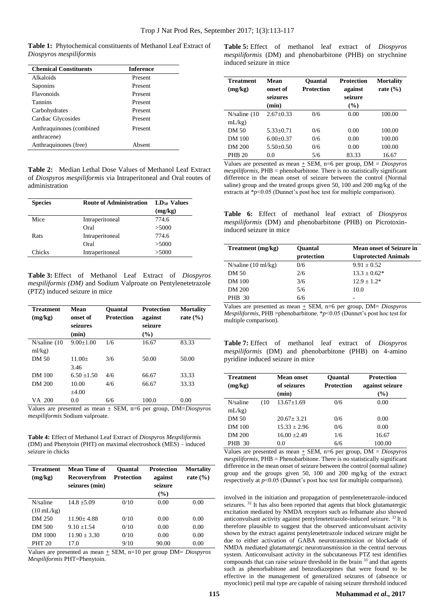**Table 1:** Phytochemical constituents of Methanol Leaf Extract of *Diospyros mespiliformis*

| <b>Chemical Constituents</b>            | <b>Inference</b> |
|-----------------------------------------|------------------|
| Alkaloids                               | Present          |
| Saponins                                | Present          |
| Flavonoids                              | Present          |
| <b>Tannins</b>                          | Present          |
| Carbohydrates                           | Present          |
| Cardiac Glycosides                      | Present          |
| Anthraquinones (combined<br>anthracene) | Present          |
| Anthraquinones (free)                   | Absent           |
|                                         |                  |

**Table 2:** Median Lethal Dose Values of Methanol Leaf Extract of *Diospyros mespiliformis* via Intraperitoneal and Oral routes of administration

| <b>Species</b> | <b>Route of Administration</b> | $LD_{50}$ Values<br>(mg/kg) |
|----------------|--------------------------------|-----------------------------|
| Mice           | Intraperitoneal                | 774.6                       |
|                | Oral                           | >5000                       |
| Rats           | Intraperitoneal                | 774.6                       |
|                | Oral                           | >5000                       |
| Chicks         | Intraperitoneal                | >5000                       |

**Table 3:** Effect of Methanol Leaf Extract of *Diospyros mespiliformis (DM)* and Sodium Valproate on Pentylenetetrazole (PTZ) induced seizure in mice

| Treatment<br>(mg/kg) | Mean<br>onset of<br>seizures<br>(min) | <b>Ouantal</b><br><b>Protection</b> | <b>Protection</b><br>against<br>seizure<br>(%) | <b>Mortality</b><br>rate $(\% )$ |
|----------------------|---------------------------------------|-------------------------------------|------------------------------------------------|----------------------------------|
| N/saline(10)         | $9.00+1.00$                           | 1/6                                 | 16.67                                          | 83.33                            |
| ml/kg)               |                                       |                                     |                                                |                                  |
| DM 50                | $11.00+$                              | 3/6                                 | 50.00                                          | 50.00                            |
|                      | 3.46                                  |                                     |                                                |                                  |
| DM 100               | $6.50 + 1.50$                         | 4/6                                 | 66.67                                          | 33.33                            |
| DM 200               | 10.00                                 | 4/6                                 | 66.67                                          | 33.33                            |
|                      | $+4.00$                               |                                     |                                                |                                  |
| VA 200               | 0.0                                   | 6/6                                 | 100.0                                          | 0.00                             |

Values are presented as mean ± SEM, n=6 per group, DM=*Diospyros mespiliformis* Sodium valproate.

**Table 4:** Effect of Methanol Leaf Extract of *Diospyros Mespiliformis*  (DM) and Phenytoin (PHT) on maximal electroshock (MES) – induced seizure in chicks

| Treatment<br>(mg/kg) | Mean Time of<br>Recovervfrom<br>seizures (min) | <b>Ouantal</b><br>Protection | <b>Protection</b><br>against<br>seizure<br>$($ %) | <b>Mortality</b><br>rate $(\% )$ |
|----------------------|------------------------------------------------|------------------------------|---------------------------------------------------|----------------------------------|
| N/saline             | $14.8 + 5.09$                                  | 0/10                         | 0.00                                              | 0.00                             |
| $(10 \text{ mL/kg})$ |                                                |                              |                                                   |                                  |
| DM 250               | $11.90 + 4.88$                                 | 0/10                         | 0.00                                              | 0.00                             |
| DM 500               | $9.10 + 1.54$                                  | 0/10                         | 0.00                                              | 0.00                             |
| DM 1000              | $11.90 + 3.30$                                 | 0/10                         | 0.00                                              | 0.00                             |
| <b>PHT 20</b>        | 17.0                                           | 9/10                         | 90.00                                             | 0.00                             |

Values are presented as mean  $\pm$  SEM, n=10 per group DM= *Diospyros Mespiliformis* PHT=Phenytoin.

**Table 5:** Effect of methanol leaf extract of *Diospyros mespiliformis* (DM) and phenobarbitone (PHB) on strychnine induced seizure in mice

| <b>Treatment</b><br>(mg/kg) | Mean<br>onset of<br>seizures<br>(min) | <b>Ouantal</b><br><b>Protection</b> | <b>Protection</b><br>against<br>seizure<br>(%) | <b>Mortality</b><br>rate $(\% )$ |
|-----------------------------|---------------------------------------|-------------------------------------|------------------------------------------------|----------------------------------|
| N/saline(10)                | $2.67+0.33$                           | 0/6                                 | 0.00                                           | 100.00                           |
| mL/kg                       |                                       |                                     |                                                |                                  |
| DM 50                       | $5.33+0.71$                           | 0/6                                 | 0.00                                           | 100.00                           |
| DM 100                      | $6.00+0.37$                           | 0/6                                 | 0.00                                           | 100.00                           |
| DM 200                      | $5.50+0.50$                           | 0/6                                 | 0.00                                           | 100.00                           |
| <b>PHB 20</b>               | 0.0                                   | 5/6                                 | 83.33                                          | 16.67                            |

Values are presented as mean + SEM, n=6 per group, DM = *Diospyros mespiliformis*, PHB = phenobarbitone. There is no statistically significant difference in the mean onset of seizure between the control (Normal saline) group and the treated groups given 50, 100 and 200 mg/kg of the extracts at \**p*<0.05 (Dunnet's post hoc test for multiple comparison).

**Table 6:** Effect of methanol leaf extract of *Diospyros mespiliformis* (DM) and phenobarbitone (PHB) on Picrotoxininduced seizure in mice

| Treatment (mg/kg)   | <b>Mean onset of Seizure in</b><br><b>Ouantal</b> |                            |
|---------------------|---------------------------------------------------|----------------------------|
|                     | protection                                        | <b>Unprotected Animals</b> |
| N/saline (10 ml/kg) | 0/6                                               | $9.91 + 0.52$              |
| DM 50               | 2/6                                               | $13.3 \pm 0.62*$           |
| DM 100              | 3/6                                               | $12.9 + 1.2*$              |
| <b>DM 200</b>       | 5/6                                               | 10.0                       |
| <b>PHB</b> 30       | 6/6                                               | -                          |

Values are presented as mean  $\pm$  SEM, n=6 per group, DM= *Diospyros Mespiliformis*, PHB =phenobarbitone. \**p*<0.05 (Dunnet's post hoc test for multiple comparison).

**Table 7:** Effect of methanol leaf extract of *Diospyros mespiliformis* (DM) and phenobarbitone (PHB) on 4-amino pyridine induced seizure in mice

| <b>Treatment</b><br>(mg/kg) |      | Mean onset<br>of seizures<br>(min) | <b>Ouantal</b><br><b>Protection</b> | <b>Protection</b><br>against seizure<br>(%) |
|-----------------------------|------|------------------------------------|-------------------------------------|---------------------------------------------|
| N/saline                    | (10) | $13.67 + 1.69$                     | 0/6                                 | 0.00                                        |
| mL/kg                       |      |                                    |                                     |                                             |
| DM 50                       |      | $20.67 + 3.21$                     | 0/6                                 | 0.00                                        |
| DM 100                      |      | $15.33 \pm 2.96$                   | 0/6                                 | 0.00                                        |
| DM 200                      |      | $16.00 \pm 2.49$                   | 1/6                                 | 16.67                                       |
| <b>PHB</b> 30               |      | 0.0                                | 6/6                                 | 100.00                                      |

Values are presented as mean + SEM, n=6 per group, DM = *Diospyros mespiliformis*, PHB = Phenobarbitone. There is no statistically significant difference in the mean onset of seizure between the control (normal saline) group and the groups given 50, 100 and 200 mg/kg of the extract respectively at *p*<0.05 (Dunnet's post hoc test for multiple comparison).

involved in the initiation and propagation of pentylenetetrazole-induced seizures.<sup>32</sup> It has also been reported that agents that block glutamatergic excitation mediated by NMDA receptors such as felbamate also showed anticonvulsant activity against pentylenetetrazole-induced seizure. <sup>33</sup> It is therefore plausible to suggest that the observed anticonvulsant activity shown by the extract against pentylenetetrazole induced seizure might be due to either activation of GABA neurotransmission or blockade of NMDA mediated glutamatergic neurotransmission in the central nervous system. Anticonvulsant activity in the subcutaneous PTZ test identifies compounds that can raise seizure threshold in the brain <sup>33</sup> and that agents such as phenorbabitone and benzodiazepines that were found to be effective in the management of generalized seizures of (absence or myoclonic) petil mal type are capable of raising seizure threshold induced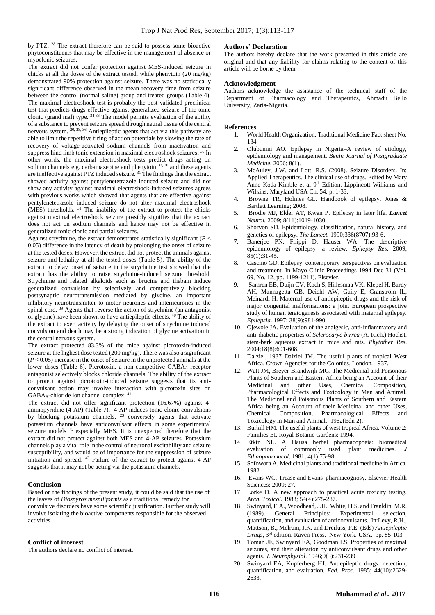by PTZ.<sup>28</sup> The extract therefore can be said to possess some bioactive phytoconstituents that may be effective in the management of absence or myoclonic seizures.

The extract did not confer protection against MES-induced seizure in chicks at all the doses of the extract tested, while phenytoin (20 mg/kg) demonstrated 90% protection against seizure. There was no statistically significant difference observed in the mean recovery time from seizure between the control (normal saline) group and treated groups (Table 4). The maximal electroshock test is probably the best validated preclinical test that predicts drugs effective against generalized seizure of the tonic clonic (grand mal) type.  $34-36$  The model permits evaluation of the ability of a substance to prevent seizure spread through neural tissue of the central nervous system. <sup>20, 28, 36</sup> Antiepileptic agents that act via this pathway are able to limit the repetitive firing of action potentials by slowing the rate of recovery of voltage-activated sodium channels from inactivation and suppress hind limb tonic extension in maximal electroshock seizures. <sup>30</sup> In other words, the maximal electroshock tests predict drugs acting on sodium channels e.g. carbamazepine and phenytoin <sup>37, 38</sup> and these agents are ineffective against PTZ induced seizure. <sup>31</sup> The findings that the extract showed activity against pentylenetetrazole induced seizure and did not show any activity against maximal electroshock-induced seizures agrees with previous works which showed that agents that are effective against pentylenetetrazole induced seizure do not alter maximal electroshock (MES) thresholds. <sup>31</sup> The inability of the extract to protect the chicks against maximal electroshock seizure possibly signifies that the extract does not act on sodium channels and hence may not be effective in generalized tonic clonic and partial seizures.

Against strychnine, the extract demonstrated statistically significant ( $P <$ 0.05) difference in the latency of death by prolonging the onset of seizure at the tested doses. However, the extract did not protect the animals against seizure and lethality at all the tested doses (Table 5). The ability of the extract to delay onset of seizure in the strychnine test showed that the extract has the ability to raise strychnine-induced seizure threshold. Strychnine and related alkaloids such as brucine and thebain induce generalized convulsion by selectively and competitively blocking postsynaptic neurotransmission mediated by glycine, an important inhibitory neurotransmitter to motor neurones and interneurones in the spinal cord.<sup>39</sup> Agents that reverse the action of strychnine (an antagonist of glycine) have been shown to have antiepileptic effects. <sup>40</sup> The ability of the extract to exert activity by delaying the onset of strychnine induced convulsion and death may be a strong indication of glycine activation in the central nervous system.

The extract protected 83.3% of the mice against picrotoxin-induced seizure at the highest dose tested (200 mg/kg). There was also a significant  $(P < 0.05)$  increase in the onset of seizure in the unprotected animals at the lower doses (Table 6). Picrotoxin, a non-competitive GABA<sup>A</sup> receptor antagonist selectively blocks chloride channels. The ability of the extract to protect against picrotoxin-induced seizure suggests that its anticonvulsant action may involve interaction with picrotoxin sites on GABAA-chloride ion channel complex. 41

The extract did not offer significant protection (16.67%) against 4 aminopyridine (4-AP) (Table 7). 4-AP induces tonic-clonic convulsions by blocking potassium channels, <sup>23</sup> conversely agents that activate potassium channels have anticonvulsant effects in some experimental seizure models <sup>42</sup> especially MES. It is unexpected therefore that the extract did not protect against both MES and 4-AP seizures. Potassium channels play a vital role in the control of neuronal excitability and seizure susceptibility, and would be of importance for the suppression of seizure initiation and spread. <sup>43</sup> Failure of the extract to protect against 4-AP suggests that it may not be acting via the potassium channels.

# **Conclusion**

Based on the findings of the present study, it could be said that the use of the leaves of *Diospyros mespiliformis* as a traditional remedy for convulsive disorders have some scientific justification. Further study will involve isolating the bioactive components responsible for the observed activities.

# **Conflict of interest**

The authors declare no conflict of interest.

# **Authors' Declaration**

The authors hereby declare that the work presented in this article are original and that any liability for claims relating to the content of this article will be borne by them.

# **Acknowledgment**

Authors acknowledge the assistance of the technical staff of the Department of Pharmacology and Therapeutics, Ahmadu Bello University, Zaria-Nigeria.

# **References**

- 1. World Health Organization. Traditional Medicine Fact sheet No. 134.
- 2. Olubunmi AO. Epilepsy in Nigeria–A review of etiology, epidemiology and management. *Benin Journal of Postgraduate Medicine.* 2006; 8(1).
- 3. McAuley, J.W. and Lott, R.S. (2008). Seizure Disorders. In: Applied Therapeutics. The clinical use of drugs. Edited by Mary Anne Koda-Kimble et al 9<sup>th</sup> Edition. Lippincott Williams and Wilkins. Maryland USA Ch. 54. p. 1-33.
- 4. Browne TR, Holmes GL. Handbook of epilepsy. Jones & Bartlett Learning; 2008.
- 5. Brodie MJ, Elder AT, Kwan P. Epilepsy in later life. *Lancet Neurol.* 2009; 8(11):1019-1030.
- 6. Shorvon SD. Epidemiology, classification, natural history, and genetics of epilepsy. *The Lancet.* 1990;336(8707):93-6.
- Banerjee PN, Filippi D, Hauser WA. The descriptive epidemiology of epilepsy—a review. *Epilepsy Res*. 2009; 85(1):31-45.
- 8. Cascino GD. Epilepsy: contemporary perspectives on evaluation and treatment. In Mayo Clinic Proceedings 1994 Dec 31 (Vol. 69, No. 12, pp. 1199-1211). Elsevier.
- 9. Samren EB, Duijn CV, Koch S, Hiilesmaa VK, Klepel H, Bardy AH, Mannagetta GB, Deichl AW, Gaily E, Granström IL, Meinardi H. Maternal use of antiepileptic drugs and the risk of major congenital malformations: a joint European prospective study of human teratogenesis associated with maternal epilepsy. *Epilepsia*. 1997; 38(9):981-990.
- 10. Ojewole JA. Evaluation of the analgesic, anti-inflammatory and anti‐diabetic properties of *Sclerocarya birrea* (A. Rich.) Hochst. stem‐bark aqueous extract in mice and rats. *Phytother Res*. 2004;18(8):601-608.
- 11. Dalziel, 1937 Dalziel JM. The useful plants of tropical West Africa. Crown Agencies for the Colonies, London. 1937.
- 12. Watt JM, Breyer-Brandwijk MG. The Medicinal and Poisonous Plants of Southern and Eastern Africa being an Account of their Medicinal and other Uses, Chemical Composition, Pharmacological Effects and Toxicology in Man and Animal. The Medicinal and Poisonous Plants of Southern and Eastern Africa being an Account of their Medicinal and other Uses, Chemical Composition, Pharmacological Effects and Toxicology in Man and Animal.. 1962(Edn 2).
- 13. Burkill HM. The useful plants of west tropical Africa. Volume 2: Families EI. Royal Botanic Gardens; 1994.
- 14. Etkin NL. A Hausa herbal pharmacopoeia: biomedical evaluation of commonly used plant medicines. *J Ethnopharmacol*. 1981; 4(1):75-98.
- 15. Sofowora A. Medicinal plants and traditional medicine in Africa. 1982
- 16. Evans WC. Trease and Evans' pharmacognosy. Elsevier Health Sciences; 2009; 27.
- 17. Lorke D. A new approach to practical acute toxicity testing. *Arch. Toxicol.* 1983; 54(4):275-287.
- 18. Swinyard, E.A., Woodhead, J.H., White, H.S. and Franklin, M.R. (1989). General Principles: Experimental selection, quantification, and evaluation of anticonvulsants. In:Levy, R.H., Mattson, B., Melrum, J.K. and Dreifuss, F.E. (Eds) *Antiepileptic Drugs,* 3 rd edition. Raven Press. New York. USA. pp. 85-103.
- 19. Toman JE, Swinyard EA, Goodman LS. Properties of maximal seizures, and their alteration by anticonvulsant drugs and other agents. *J. Neurophysiol*. 1946;9(3):231-239
- Swinyard EA, Kupferberg HJ. Antiepileptic drugs: detection, quantification, and evaluation. *Fed. Proc.* 1985; 44(10):2629- 2633.